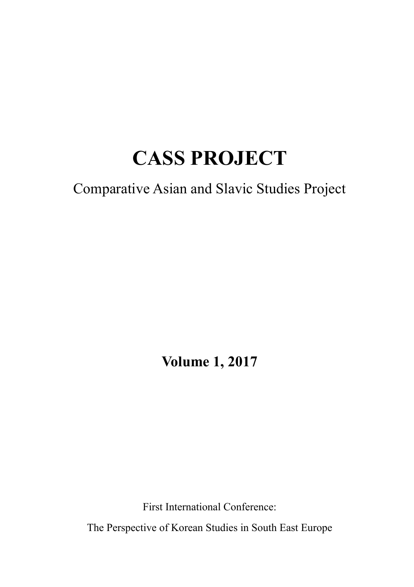# **CASS PROJECT**

Comparative Asian and Slavic Studies Project

**Volume 1, 2017**

First International Conference: The Perspective of Korean Studies in South East Europe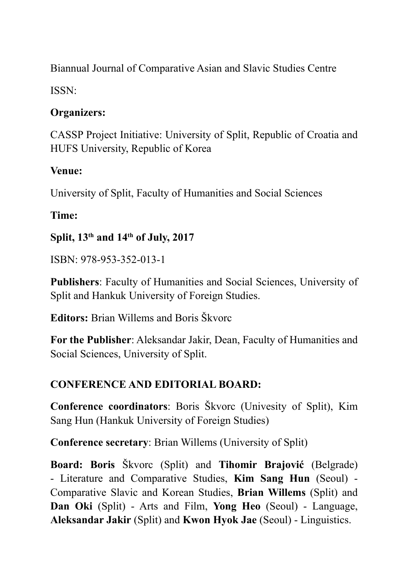Biannual Journal of Comparative Asian and Slavic Studies Centre

ISSN:

#### **Organizers:**

CASSP Project Initiative: University of Split, Republic of Croatia and HUFS University, Republic of Korea

#### **Venue:**

University of Split, Faculty of Humanities and Social Sciences

### **Time:**

#### **Split, 13th and 14th of July, 2017**

ISBN: 978-953-352-013-1

**Publishers**: Faculty of Humanities and Social Sciences, University of Split and Hankuk University of Foreign Studies.

**Editors:** Brian Willems and Boris Škvorc

**For the Publisher**: Aleksandar Jakir, Dean, Faculty of Humanities and Social Sciences, University of Split.

### **CONFERENCE AND EDITORIAL BOARD:**

**Conference coordinators**: Boris Škvorc (Univesity of Split), Kim Sang Hun (Hankuk University of Foreign Studies)

**Conference secretary**: Brian Willems (University of Split)

**Board: Boris** Škvorc (Split) and **Tihomir Brajović** (Belgrade) - Literature and Comparative Studies, **Kim Sang Hun** (Seoul) - Comparative Slavic and Korean Studies, **Brian Willems** (Split) and **Dan Oki** (Split) - Arts and Film, **Yong Heo** (Seoul) - Language, **Aleksandar Jakir** (Split) and **Kwon Hyok Jae** (Seoul) - Linguistics.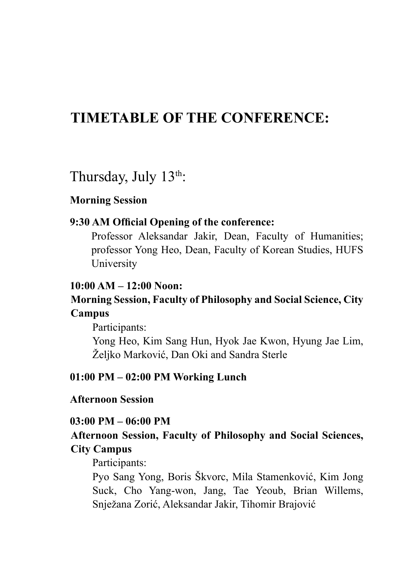### **TIMETABLE OF THE CONFERENCE:**

Thursday, July  $13<sup>th</sup>$ :

#### **Morning Session**

#### **9:30 AM Official Opening of the conference:**

Professor Aleksandar Jakir, Dean, Faculty of Humanities; professor Yong Heo, Dean, Faculty of Korean Studies, HUFS University

#### **10:00 AM – 12:00 Noon:**

#### **Morning Session, Faculty of Philosophy and Social Science, City Campus**

Participants:

Yong Heo, Kim Sang Hun, Hyok Jae Kwon, Hyung Jae Lim, Željko Marković, Dan Oki and Sandra Sterle

#### **01:00 PM – 02:00 PM Working Lunch**

#### **Afternoon Session**

#### **03:00 PM – 06:00 PM**

#### **Afternoon Session, Faculty of Philosophy and Social Sciences, City Campus**

#### Participants:

Pyo Sang Yong, Boris Škvorc, Mila Stamenković, Kim Jong Suck, Cho Yang-won, Jang, Tae Yeoub, Brian Willems, Snježana Zorić, Aleksandar Jakir, Tihomir Brajović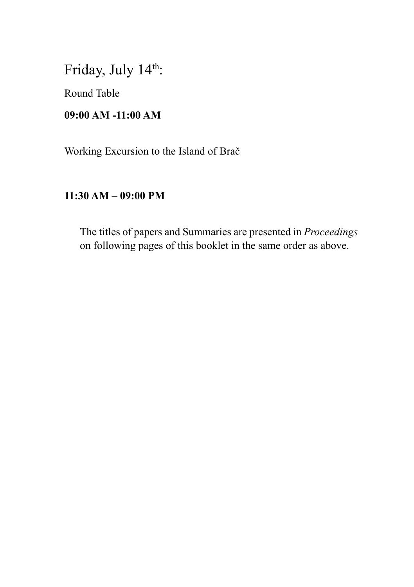Friday, July 14th:

Round Table

#### **09:00 AM -11:00 AM**

Working Excursion to the Island of Brač

#### **11:30 AM – 09:00 PM**

The titles of papers and Summaries are presented in *Proceedings*  on following pages of this booklet in the same order as above.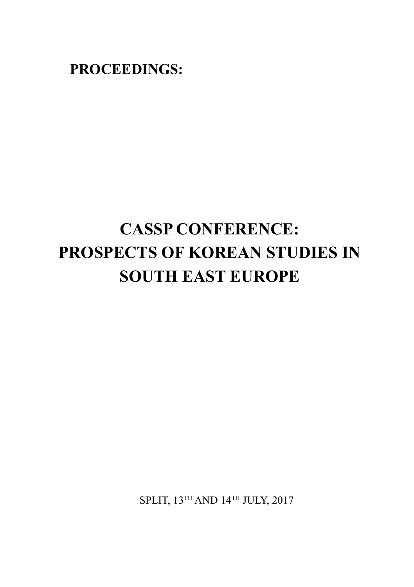**PROCEEDINGS:**

# **CASSP CONFERENCE: PROSPECTS OF KOREAN STUDIES IN SOUTH EAST EUROPE**

SPLIT, 13TH AND 14TH JULY, 2017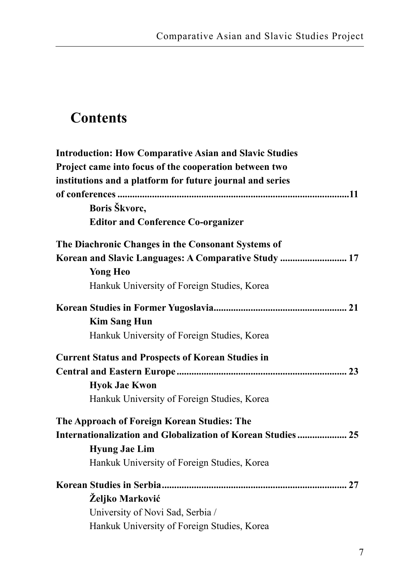# **Contents**

| <b>Introduction: How Comparative Asian and Slavic Studies</b> |  |
|---------------------------------------------------------------|--|
| Project came into focus of the cooperation between two        |  |
| institutions and a platform for future journal and series     |  |
|                                                               |  |
| Boris Škvorc,                                                 |  |
| <b>Editor and Conference Co-organizer</b>                     |  |
| The Diachronic Changes in the Consonant Systems of            |  |
| Korean and Slavic Languages: A Comparative Study  17          |  |
| <b>Yong Heo</b>                                               |  |
| Hankuk University of Foreign Studies, Korea                   |  |
|                                                               |  |
| <b>Kim Sang Hun</b>                                           |  |
| Hankuk University of Foreign Studies, Korea                   |  |
| <b>Current Status and Prospects of Korean Studies in</b>      |  |
|                                                               |  |
| <b>Hyok Jae Kwon</b>                                          |  |
| Hankuk University of Foreign Studies, Korea                   |  |
| The Approach of Foreign Korean Studies: The                   |  |
| Internationalization and Globalization of Korean Studies  25  |  |
| <b>Hyung Jae Lim</b>                                          |  |
| Hankuk University of Foreign Studies, Korea                   |  |
|                                                               |  |
| Željko Marković                                               |  |
| University of Novi Sad, Serbia /                              |  |
| Hankuk University of Foreign Studies, Korea                   |  |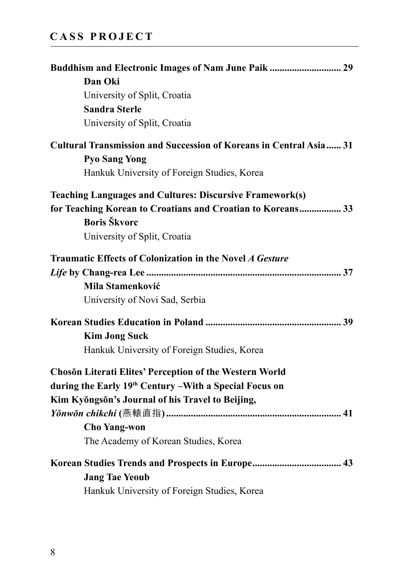#### **CASS PROJECT**

| Buddhism and Electronic Images of Nam June Paik  29                |  |
|--------------------------------------------------------------------|--|
| Dan Oki                                                            |  |
| University of Split, Croatia                                       |  |
| <b>Sandra Sterle</b>                                               |  |
| University of Split, Croatia                                       |  |
| Cultural Transmission and Succession of Koreans in Central Asia 31 |  |
| <b>Pyo Sang Yong</b>                                               |  |
| Hankuk University of Foreign Studies, Korea                        |  |
| <b>Teaching Languages and Cultures: Discursive Framework(s)</b>    |  |
| for Teaching Korean to Croatians and Croatian to Koreans 33        |  |
| <b>Boris Škvorc</b>                                                |  |
| University of Split, Croatia                                       |  |
| Traumatic Effects of Colonization in the Novel A Gesture           |  |
|                                                                    |  |
| Mila Stamenković                                                   |  |
| University of Novi Sad, Serbia                                     |  |
|                                                                    |  |
| <b>Kim Jong Suck</b>                                               |  |
| Hankuk University of Foreign Studies, Korea                        |  |
| Chosŏn Literati Elites' Perception of the Western World            |  |
| during the Early 19th Century - With a Special Focus on            |  |
| Kim Kyŏngsŏn's Journal of his Travel to Beijing,                   |  |
|                                                                    |  |
| <b>Cho Yang-won</b>                                                |  |
| The Academy of Korean Studies, Korea                               |  |
|                                                                    |  |
| <b>Jang Tae Yeoub</b>                                              |  |
| Hankuk University of Foreign Studies, Korea                        |  |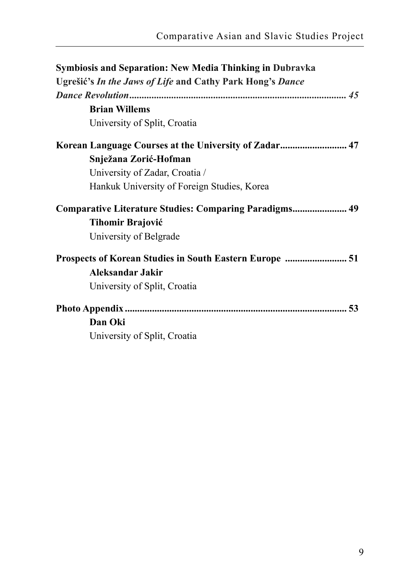| <b>Symbiosis and Separation: New Media Thinking in Dubravka</b> |  |
|-----------------------------------------------------------------|--|
| Ugrešić's In the Jaws of Life and Cathy Park Hong's Dance       |  |
|                                                                 |  |
| <b>Brian Willems</b>                                            |  |
| University of Split, Croatia                                    |  |
| Korean Language Courses at the University of Zadar 47           |  |
| Snježana Zorić-Hofman                                           |  |
| University of Zadar, Croatia /                                  |  |
| Hankuk University of Foreign Studies, Korea                     |  |
| Comparative Literature Studies: Comparing Paradigms 49          |  |
| <b>Tihomir Brajović</b>                                         |  |
| University of Belgrade                                          |  |
| Prospects of Korean Studies in South Eastern Europe  51         |  |
| Aleksandar Jakir                                                |  |
| University of Split, Croatia                                    |  |
|                                                                 |  |
| Dan Oki                                                         |  |
| University of Split, Croatia                                    |  |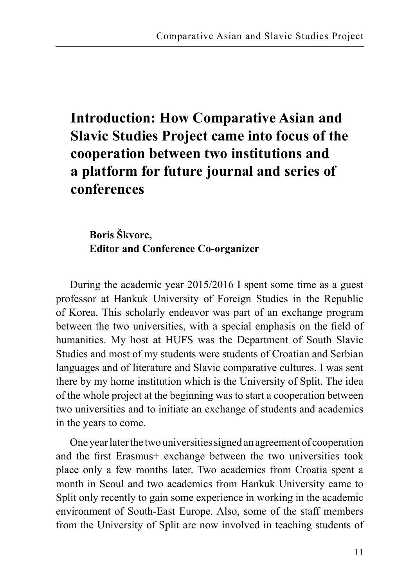# **Introduction: How Comparative Asian and Slavic Studies Project came into focus of the cooperation between two institutions and a platform for future journal and series of conferences**

### **Boris Škvorc, Editor and Conference Co-organizer**

During the academic year 2015/2016 I spent some time as a guest professor at Hankuk University of Foreign Studies in the Republic of Korea. This scholarly endeavor was part of an exchange program between the two universities, with a special emphasis on the field of humanities. My host at HUFS was the Department of South Slavic Studies and most of my students were students of Croatian and Serbian languages and of literature and Slavic comparative cultures. I was sent there by my home institution which is the University of Split. The idea of the whole project at the beginning was to start a cooperation between two universities and to initiate an exchange of students and academics in the years to come.

One year later the two universities signed an agreement of cooperation and the first Erasmus+ exchange between the two universities took place only a few months later. Two academics from Croatia spent a month in Seoul and two academics from Hankuk University came to Split only recently to gain some experience in working in the academic environment of South-East Europe. Also, some of the staff members from the University of Split are now involved in teaching students of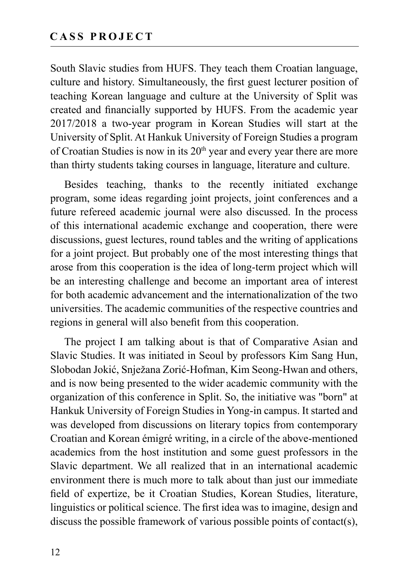South Slavic studies from HUFS. They teach them Croatian language, culture and history. Simultaneously, the first guest lecturer position of teaching Korean language and culture at the University of Split was created and financially supported by HUFS. From the academic year 2017/2018 a two-year program in Korean Studies will start at the University of Split. At Hankuk University of Foreign Studies a program of Croatian Studies is now in its  $20<sup>th</sup>$  year and every year there are more than thirty students taking courses in language, literature and culture.

Besides teaching, thanks to the recently initiated exchange program, some ideas regarding joint projects, joint conferences and a future refereed academic journal were also discussed. In the process of this international academic exchange and cooperation, there were discussions, guest lectures, round tables and the writing of applications for a joint project. But probably one of the most interesting things that arose from this cooperation is the idea of long-term project which will be an interesting challenge and become an important area of interest for both academic advancement and the internationalization of the two universities. The academic communities of the respective countries and regions in general will also benefit from this cooperation.

The project I am talking about is that of Comparative Asian and Slavic Studies. It was initiated in Seoul by professors Kim Sang Hun, Slobodan Jokić, Snježana Zorić-Hofman, Kim Seong-Hwan and others, and is now being presented to the wider academic community with the organization of this conference in Split. So, the initiative was "born" at Hankuk University of Foreign Studies in Yong-in campus. It started and was developed from discussions on literary topics from contemporary Croatian and Korean émigré writing, in a circle of the above-mentioned academics from the host institution and some guest professors in the Slavic department. We all realized that in an international academic environment there is much more to talk about than just our immediate field of expertize, be it Croatian Studies, Korean Studies, literature, linguistics or political science. The first idea was to imagine, design and discuss the possible framework of various possible points of contact(s),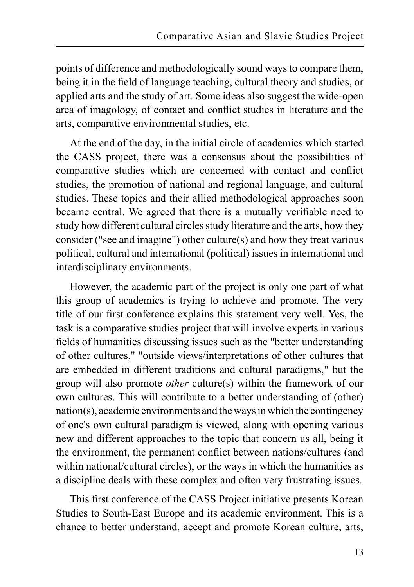points of difference and methodologically sound ways to compare them, being it in the field of language teaching, cultural theory and studies, or applied arts and the study of art. Some ideas also suggest the wide-open area of imagology, of contact and conflict studies in literature and the arts, comparative environmental studies, etc.

At the end of the day, in the initial circle of academics which started the CASS project, there was a consensus about the possibilities of comparative studies which are concerned with contact and conflict studies, the promotion of national and regional language, and cultural studies. These topics and their allied methodological approaches soon became central. We agreed that there is a mutually verifiable need to study how different cultural circles study literature and the arts, how they consider ("see and imagine") other culture(s) and how they treat various political, cultural and international (political) issues in international and interdisciplinary environments.

However, the academic part of the project is only one part of what this group of academics is trying to achieve and promote. The very title of our first conference explains this statement very well. Yes, the task is a comparative studies project that will involve experts in various fields of humanities discussing issues such as the "better understanding of other cultures," "outside views/interpretations of other cultures that are embedded in different traditions and cultural paradigms," but the group will also promote *other* culture(s) within the framework of our own cultures. This will contribute to a better understanding of (other) nation(s), academic environments and the ways in which the contingency of one's own cultural paradigm is viewed, along with opening various new and different approaches to the topic that concern us all, being it the environment, the permanent conflict between nations/cultures (and within national/cultural circles), or the ways in which the humanities as a discipline deals with these complex and often very frustrating issues.

This first conference of the CASS Project initiative presents Korean Studies to South-East Europe and its academic environment. This is a chance to better understand, accept and promote Korean culture, arts,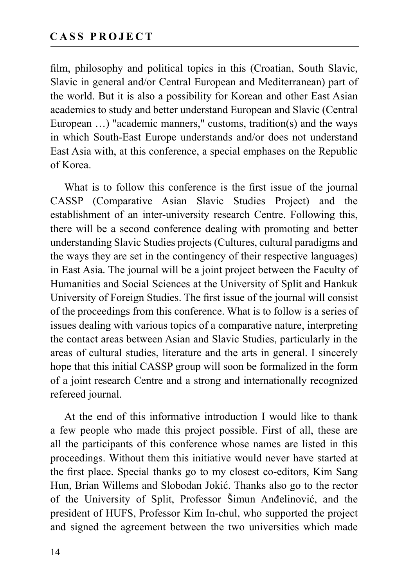film, philosophy and political topics in this (Croatian, South Slavic, Slavic in general and/or Central European and Mediterranean) part of the world. But it is also a possibility for Korean and other East Asian academics to study and better understand European and Slavic (Central European …) "academic manners," customs, tradition(s) and the ways in which South-East Europe understands and/or does not understand East Asia with, at this conference, a special emphases on the Republic of Korea.

What is to follow this conference is the first issue of the journal CASSP (Comparative Asian Slavic Studies Project) and the establishment of an inter-university research Centre. Following this, there will be a second conference dealing with promoting and better understanding Slavic Studies projects (Cultures, cultural paradigms and the ways they are set in the contingency of their respective languages) in East Asia. The journal will be a joint project between the Faculty of Humanities and Social Sciences at the University of Split and Hankuk University of Foreign Studies. The first issue of the journal will consist of the proceedings from this conference. What is to follow is a series of issues dealing with various topics of a comparative nature, interpreting the contact areas between Asian and Slavic Studies, particularly in the areas of cultural studies, literature and the arts in general. I sincerely hope that this initial CASSP group will soon be formalized in the form of a joint research Centre and a strong and internationally recognized refereed journal.

At the end of this informative introduction I would like to thank a few people who made this project possible. First of all, these are all the participants of this conference whose names are listed in this proceedings. Without them this initiative would never have started at the first place. Special thanks go to my closest co-editors, Kim Sang Hun, Brian Willems and Slobodan Jokić. Thanks also go to the rector of the University of Split, Professor Šimun Anđelinović, and the president of HUFS, Professor Kim In-chul, who supported the project and signed the agreement between the two universities which made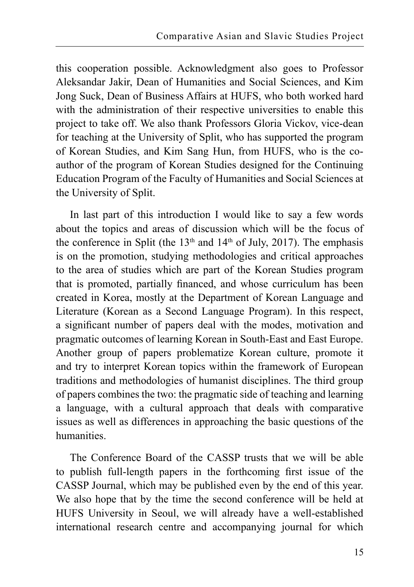this cooperation possible. Acknowledgment also goes to Professor Aleksandar Jakir, Dean of Humanities and Social Sciences, and Kim Jong Suck, Dean of Business Affairs at HUFS, who both worked hard with the administration of their respective universities to enable this project to take off. We also thank Professors Gloria Vickov, vice-dean for teaching at the University of Split, who has supported the program of Korean Studies, and Kim Sang Hun, from HUFS, who is the coauthor of the program of Korean Studies designed for the Continuing Education Program of the Faculty of Humanities and Social Sciences at the University of Split.

In last part of this introduction I would like to say a few words about the topics and areas of discussion which will be the focus of the conference in Split (the  $13<sup>th</sup>$  and  $14<sup>th</sup>$  of July, 2017). The emphasis is on the promotion, studying methodologies and critical approaches to the area of studies which are part of the Korean Studies program that is promoted, partially financed, and whose curriculum has been created in Korea, mostly at the Department of Korean Language and Literature (Korean as a Second Language Program). In this respect, a significant number of papers deal with the modes, motivation and pragmatic outcomes of learning Korean in South-East and East Europe. Another group of papers problematize Korean culture, promote it and try to interpret Korean topics within the framework of European traditions and methodologies of humanist disciplines. The third group of papers combines the two: the pragmatic side of teaching and learning a language, with a cultural approach that deals with comparative issues as well as differences in approaching the basic questions of the humanities.

The Conference Board of the CASSP trusts that we will be able to publish full-length papers in the forthcoming first issue of the CASSP Journal, which may be published even by the end of this year. We also hope that by the time the second conference will be held at HUFS University in Seoul, we will already have a well-established international research centre and accompanying journal for which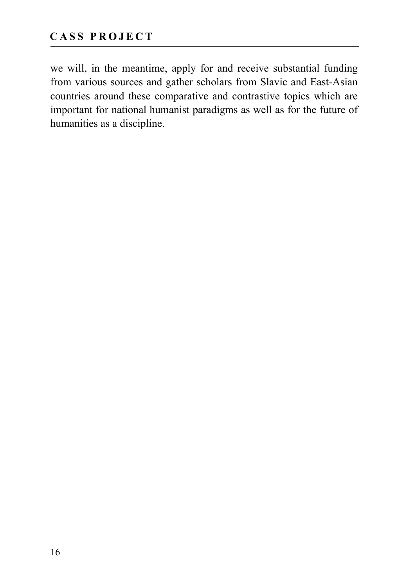we will, in the meantime, apply for and receive substantial funding from various sources and gather scholars from Slavic and East-Asian countries around these comparative and contrastive topics which are important for national humanist paradigms as well as for the future of humanities as a discipline.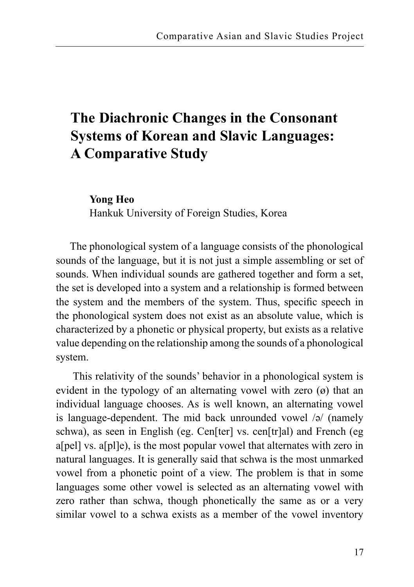# **The Diachronic Changes in the Consonant Systems of Korean and Slavic Languages: A Comparative Study**

**Yong Heo**

Hankuk University of Foreign Studies, Korea

The phonological system of a language consists of the phonological sounds of the language, but it is not just a simple assembling or set of sounds. When individual sounds are gathered together and form a set, the set is developed into a system and a relationship is formed between the system and the members of the system. Thus, specific speech in the phonological system does not exist as an absolute value, which is characterized by a phonetic or physical property, but exists as a relative value depending on the relationship among the sounds of a phonological system.

This relativity of the sounds' behavior in a phonological system is evident in the typology of an alternating vowel with zero  $(\varnothing)$  that an individual language chooses. As is well known, an alternating vowel is language-dependent. The mid back unrounded vowel /ə/ (namely schwa), as seen in English (eg. Cen[ter] vs. cen[tr]al) and French (eg a[pel] vs. a[pl]e), is the most popular vowel that alternates with zero in natural languages. It is generally said that schwa is the most unmarked vowel from a phonetic point of a view. The problem is that in some languages some other vowel is selected as an alternating vowel with zero rather than schwa, though phonetically the same as or a very similar vowel to a schwa exists as a member of the vowel inventory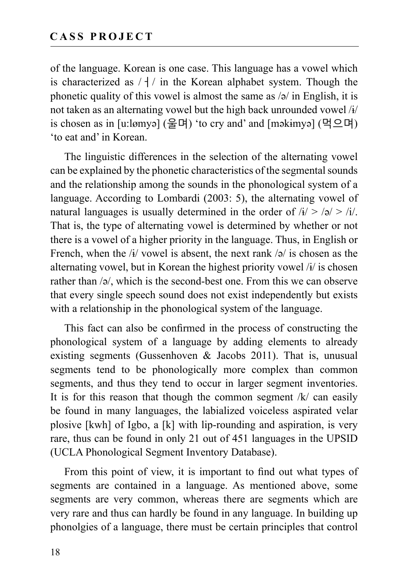of the language. Korean is one case. This language has a vowel which is characterized as  $/$  +  $/$  in the Korean alphabet system. Though the phonetic quality of this vowel is almost the same as /ə/ in English, it is not taken as an alternating vowel but the high back unrounded vowel /ɨ/ is chosen as in [u:lømyə] (울며) 'to cry and' and [məkɨmyə] (먹으며) 'to eat and' in Korean.

The linguistic differences in the selection of the alternating vowel can be explained by the phonetic characteristics of the segmental sounds and the relationship among the sounds in the phonological system of a language. According to Lombardi (2003: 5), the alternating vowel of natural languages is usually determined in the order of  $\lambda i > \frac{1}{2}$ . That is, the type of alternating vowel is determined by whether or not there is a vowel of a higher priority in the language. Thus, in English or French, when the  $\frac{1}{4}$  vowel is absent, the next rank  $\frac{1}{2}$  is chosen as the alternating vowel, but in Korean the highest priority vowel /ɨ/ is chosen rather than /ə/, which is the second-best one. From this we can observe that every single speech sound does not exist independently but exists with a relationship in the phonological system of the language.

This fact can also be confirmed in the process of constructing the phonological system of a language by adding elements to already existing segments (Gussenhoven  $\&$  Jacobs 2011). That is, unusual segments tend to be phonologically more complex than common segments, and thus they tend to occur in larger segment inventories. It is for this reason that though the common segment  $/k/$  can easily be found in many languages, the labialized voiceless aspirated velar plosive [kwh] of Igbo, a [k] with lip-rounding and aspiration, is very rare, thus can be found in only 21 out of 451 languages in the UPSID (UCLA Phonological Segment Inventory Database).

From this point of view, it is important to find out what types of segments are contained in a language. As mentioned above, some segments are very common, whereas there are segments which are very rare and thus can hardly be found in any language. In building up phonolgies of a language, there must be certain principles that control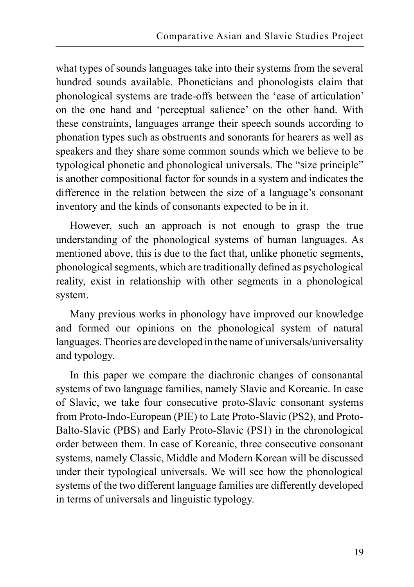what types of sounds languages take into their systems from the several hundred sounds available. Phoneticians and phonologists claim that phonological systems are trade-offs between the 'ease of articulation' on the one hand and 'perceptual salience' on the other hand. With these constraints, languages arrange their speech sounds according to phonation types such as obstruents and sonorants for hearers as well as speakers and they share some common sounds which we believe to be typological phonetic and phonological universals. The "size principle" is another compositional factor for sounds in a system and indicates the difference in the relation between the size of a language's consonant inventory and the kinds of consonants expected to be in it.

However, such an approach is not enough to grasp the true understanding of the phonological systems of human languages. As mentioned above, this is due to the fact that, unlike phonetic segments, phonological segments, which are traditionally defined as psychological reality, exist in relationship with other segments in a phonological system.

Many previous works in phonology have improved our knowledge and formed our opinions on the phonological system of natural languages. Theories are developed in the name of universals/universality and typology.

In this paper we compare the diachronic changes of consonantal systems of two language families, namely Slavic and Koreanic. In case of Slavic, we take four consecutive proto-Slavic consonant systems from Proto-Indo-European (PIE) to Late Proto-Slavic (PS2), and Proto-Balto-Slavic (PBS) and Early Proto-Slavic (PS1) in the chronological order between them. In case of Koreanic, three consecutive consonant systems, namely Classic, Middle and Modern Korean will be discussed under their typological universals. We will see how the phonological systems of the two different language families are differently developed in terms of universals and linguistic typology.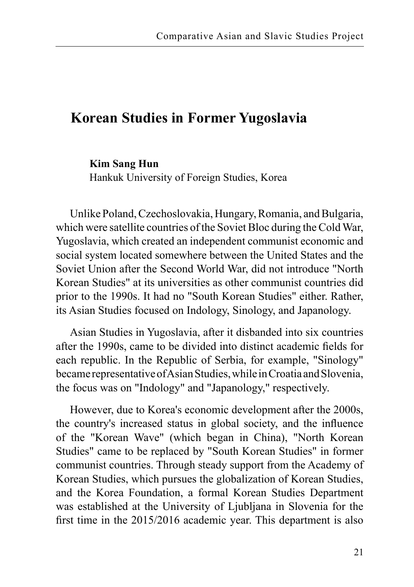### **Korean Studies in Former Yugoslavia**

#### **Kim Sang Hun**

Hankuk University of Foreign Studies, Korea

Unlike Poland, Czechoslovakia, Hungary, Romania, and Bulgaria, which were satellite countries of the Soviet Bloc during the Cold War, Yugoslavia, which created an independent communist economic and social system located somewhere between the United States and the Soviet Union after the Second World War, did not introduce "North Korean Studies" at its universities as other communist countries did prior to the 1990s. It had no "South Korean Studies" either. Rather, its Asian Studies focused on Indology, Sinology, and Japanology.

Asian Studies in Yugoslavia, after it disbanded into six countries after the 1990s, came to be divided into distinct academic fields for each republic. In the Republic of Serbia, for example, "Sinology" became representative of Asian Studies, while in Croatia and Slovenia, the focus was on "Indology" and "Japanology," respectively.

However, due to Korea's economic development after the 2000s, the country's increased status in global society, and the influence of the "Korean Wave" (which began in China), "North Korean Studies" came to be replaced by "South Korean Studies" in former communist countries. Through steady support from the Academy of Korean Studies, which pursues the globalization of Korean Studies, and the Korea Foundation, a formal Korean Studies Department was established at the University of Ljubljana in Slovenia for the first time in the 2015/2016 academic year. This department is also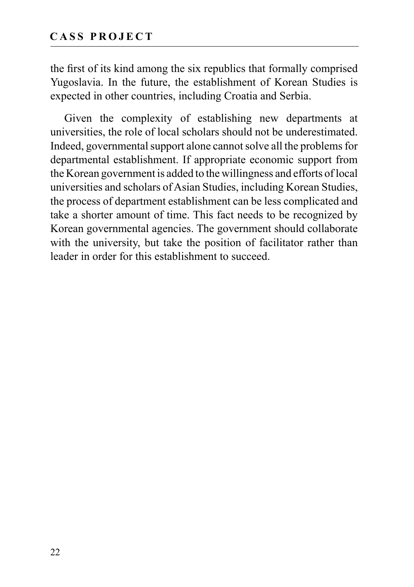the first of its kind among the six republics that formally comprised Yugoslavia. In the future, the establishment of Korean Studies is expected in other countries, including Croatia and Serbia.

Given the complexity of establishing new departments at universities, the role of local scholars should not be underestimated. Indeed, governmental support alone cannot solve all the problems for departmental establishment. If appropriate economic support from the Korean government is added to the willingness and efforts of local universities and scholars of Asian Studies, including Korean Studies, the process of department establishment can be less complicated and take a shorter amount of time. This fact needs to be recognized by Korean governmental agencies. The government should collaborate with the university, but take the position of facilitator rather than leader in order for this establishment to succeed.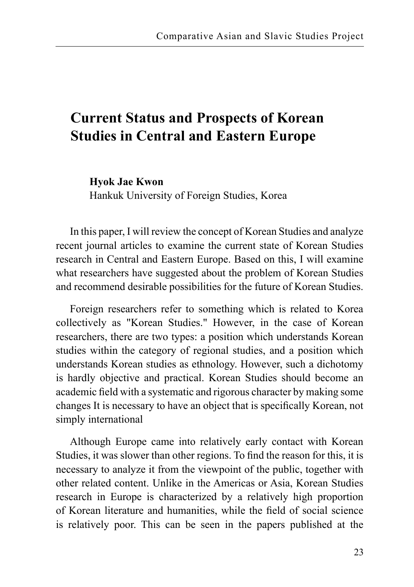### **Current Status and Prospects of Korean Studies in Central and Eastern Europe**

**Hyok Jae Kwon**

Hankuk University of Foreign Studies, Korea

In this paper, I will review the concept of Korean Studies and analyze recent journal articles to examine the current state of Korean Studies research in Central and Eastern Europe. Based on this, I will examine what researchers have suggested about the problem of Korean Studies and recommend desirable possibilities for the future of Korean Studies.

Foreign researchers refer to something which is related to Korea collectively as "Korean Studies." However, in the case of Korean researchers, there are two types: a position which understands Korean studies within the category of regional studies, and a position which understands Korean studies as ethnology. However, such a dichotomy is hardly objective and practical. Korean Studies should become an academic field with a systematic and rigorous character by making some changes It is necessary to have an object that is specifically Korean, not simply international

Although Europe came into relatively early contact with Korean Studies, it was slower than other regions. To find the reason for this, it is necessary to analyze it from the viewpoint of the public, together with other related content. Unlike in the Americas or Asia, Korean Studies research in Europe is characterized by a relatively high proportion of Korean literature and humanities, while the field of social science is relatively poor. This can be seen in the papers published at the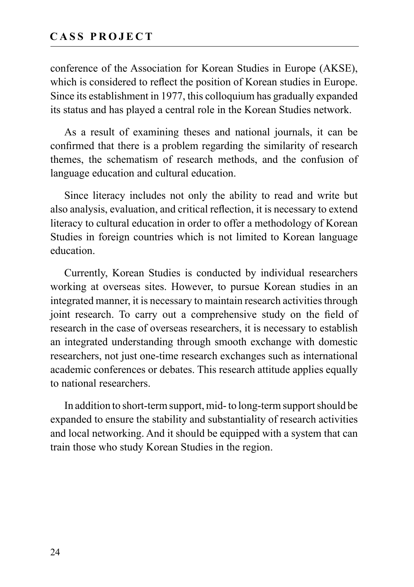conference of the Association for Korean Studies in Europe (AKSE), which is considered to reflect the position of Korean studies in Europe. Since its establishment in 1977, this colloquium has gradually expanded its status and has played a central role in the Korean Studies network.

As a result of examining theses and national journals, it can be confirmed that there is a problem regarding the similarity of research themes, the schematism of research methods, and the confusion of language education and cultural education.

Since literacy includes not only the ability to read and write but also analysis, evaluation, and critical reflection, it is necessary to extend literacy to cultural education in order to offer a methodology of Korean Studies in foreign countries which is not limited to Korean language education.

Currently, Korean Studies is conducted by individual researchers working at overseas sites. However, to pursue Korean studies in an integrated manner, it is necessary to maintain research activities through joint research. To carry out a comprehensive study on the field of research in the case of overseas researchers, it is necessary to establish an integrated understanding through smooth exchange with domestic researchers, not just one-time research exchanges such as international academic conferences or debates. This research attitude applies equally to national researchers.

In addition to short-term support, mid- to long-term support should be expanded to ensure the stability and substantiality of research activities and local networking. And it should be equipped with a system that can train those who study Korean Studies in the region.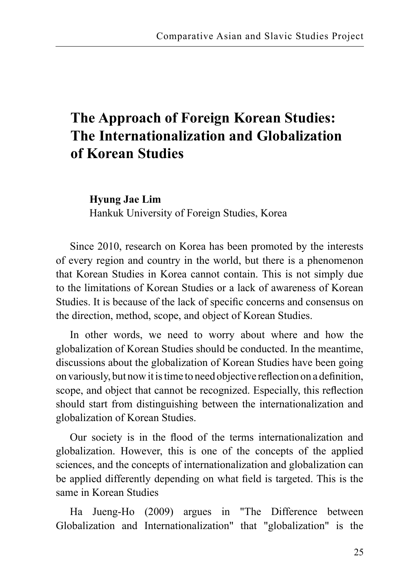# **The Approach of Foreign Korean Studies: The Internationalization and Globalization of Korean Studies**

**Hyung Jae Lim** 

Hankuk University of Foreign Studies, Korea

Since 2010, research on Korea has been promoted by the interests of every region and country in the world, but there is a phenomenon that Korean Studies in Korea cannot contain. This is not simply due to the limitations of Korean Studies or a lack of awareness of Korean Studies. It is because of the lack of specific concerns and consensus on the direction, method, scope, and object of Korean Studies.

In other words, we need to worry about where and how the globalization of Korean Studies should be conducted. In the meantime, discussions about the globalization of Korean Studies have been going on variously, but now it is time to need objective reflection on a definition, scope, and object that cannot be recognized. Especially, this reflection should start from distinguishing between the internationalization and globalization of Korean Studies.

Our society is in the flood of the terms internationalization and globalization. However, this is one of the concepts of the applied sciences, and the concepts of internationalization and globalization can be applied differently depending on what field is targeted. This is the same in Korean Studies

Ha Jueng-Ho (2009) argues in "The Difference between Globalization and Internationalization" that "globalization" is the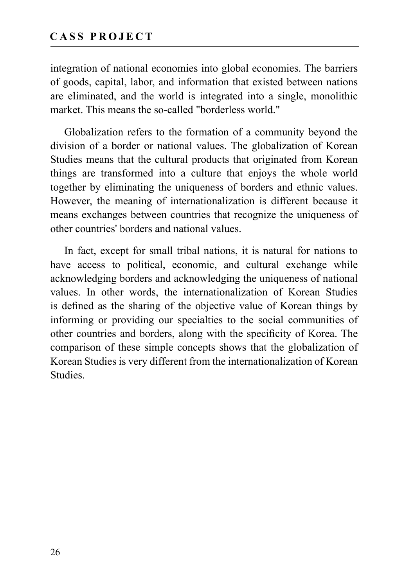integration of national economies into global economies. The barriers of goods, capital, labor, and information that existed between nations are eliminated, and the world is integrated into a single, monolithic market. This means the so-called "borderless world."

Globalization refers to the formation of a community beyond the division of a border or national values. The globalization of Korean Studies means that the cultural products that originated from Korean things are transformed into a culture that enjoys the whole world together by eliminating the uniqueness of borders and ethnic values. However, the meaning of internationalization is different because it means exchanges between countries that recognize the uniqueness of other countries' borders and national values.

In fact, except for small tribal nations, it is natural for nations to have access to political, economic, and cultural exchange while acknowledging borders and acknowledging the uniqueness of national values. In other words, the internationalization of Korean Studies is defined as the sharing of the objective value of Korean things by informing or providing our specialties to the social communities of other countries and borders, along with the specificity of Korea. The comparison of these simple concepts shows that the globalization of Korean Studies is very different from the internationalization of Korean Studies.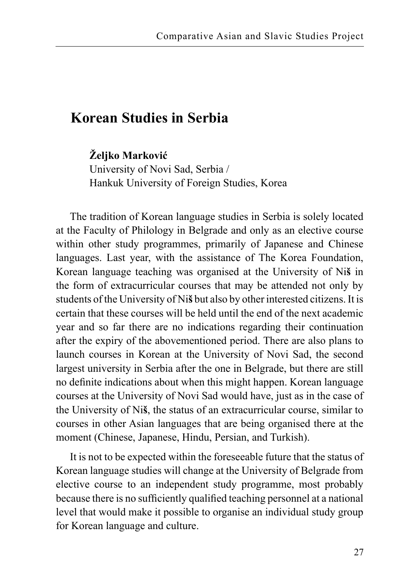### **Korean Studies in Serbia**

**Željko Marković**

University of Novi Sad, Serbia / Hankuk University of Foreign Studies, Korea

The tradition of Korean language studies in Serbia is solely located at the Faculty of Philology in Belgrade and only as an elective course within other study programmes, primarily of Japanese and Chinese languages. Last year, with the assistance of The Korea Foundation, Korean language teaching was organised at the University of Ni**š** in the form of extracurricular courses that may be attended not only by students of the University of Ni**š** but also by other interested citizens. It is certain that these courses will be held until the end of the next academic year and so far there are no indications regarding their continuation after the expiry of the abovementioned period. There are also plans to launch courses in Korean at the University of Novi Sad, the second largest university in Serbia after the one in Belgrade, but there are still no definite indications about when this might happen. Korean language courses at the University of Novi Sad would have, just as in the case of the University of Ni**š**, the status of an extracurricular course, similar to courses in other Asian languages that are being organised there at the moment (Chinese, Japanese, Hindu, Persian, and Turkish).

It is not to be expected within the foreseeable future that the status of Korean language studies will change at the University of Belgrade from elective course to an independent study programme, most probably because there is no sufficiently qualified teaching personnel at a national level that would make it possible to organise an individual study group for Korean language and culture.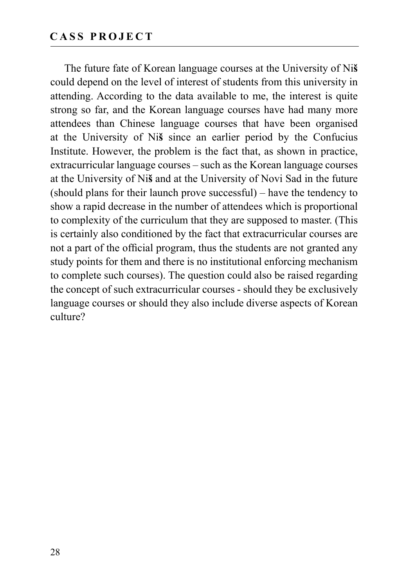The future fate of Korean language courses at the University of Ni**š** could depend on the level of interest of students from this university in attending. According to the data available to me, the interest is quite strong so far, and the Korean language courses have had many more attendees than Chinese language courses that have been organised at the University of Ni**š** since an earlier period by the Confucius Institute. However, the problem is the fact that, as shown in practice, extracurricular language courses – such as the Korean language courses at the University of Ni**š** and at the University of Novi Sad in the future (should plans for their launch prove successful) – have the tendency to show a rapid decrease in the number of attendees which is proportional to complexity of the curriculum that they are supposed to master. (This is certainly also conditioned by the fact that extracurricular courses are not a part of the official program, thus the students are not granted any study points for them and there is no institutional enforcing mechanism to complete such courses). The question could also be raised regarding the concept of such extracurricular courses - should they be exclusively language courses or should they also include diverse aspects of Korean culture?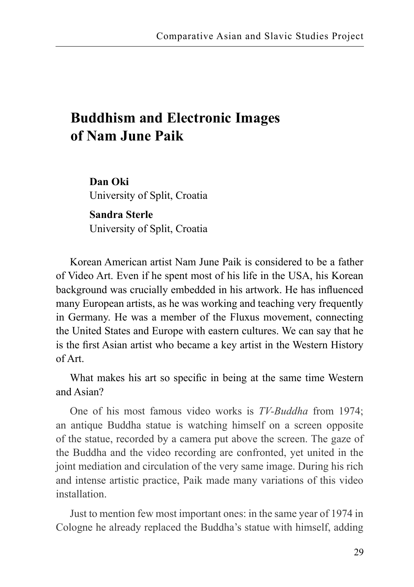# **Buddhism and Electronic Images of Nam June Paik**

**Dan Oki** University of Split, Croatia

**Sandra Sterle** University of Split, Croatia

Korean American artist Nam June Paik is considered to be a father of Video Art. Even if he spent most of his life in the USA, his Korean background was crucially embedded in his artwork. He has influenced many European artists, as he was working and teaching very frequently in Germany. He was a member of the Fluxus movement, connecting the United States and Europe with eastern cultures. We can say that he is the first Asian artist who became a key artist in the Western History of Art.

What makes his art so specific in being at the same time Western and Asian?

One of his most famous video works is *TV-Buddha* from 1974; an antique Buddha statue is watching himself on a screen opposite of the statue, recorded by a camera put above the screen. The gaze of the Buddha and the video recording are confronted, yet united in the joint mediation and circulation of the very same image. During his rich and intense artistic practice, Paik made many variations of this video installation.

Just to mention few most important ones: in the same year of 1974 in Cologne he already replaced the Buddha's statue with himself, adding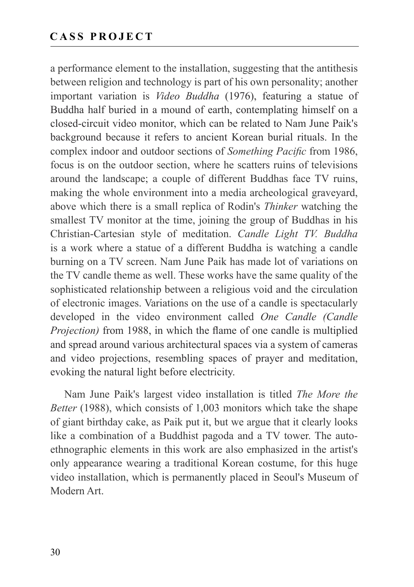a performance element to the installation, suggesting that the antithesis between religion and technology is part of his own personality; another important variation is *Video Buddha* (1976), featuring a statue of Buddha half buried in a mound of earth, contemplating himself on a closed-circuit video monitor, which can be related to Nam June Paik's background because it refers to ancient Korean burial rituals. In the complex indoor and outdoor sections of *Something Pacific* from 1986, focus is on the outdoor section, where he scatters ruins of televisions around the landscape; a couple of different Buddhas face TV ruins, making the whole environment into a media archeological graveyard, above which there is a small replica of Rodin's *Thinker* watching the smallest TV monitor at the time, joining the group of Buddhas in his Christian-Cartesian style of meditation. *Candle Light TV. Buddha*  is a work where a statue of a different Buddha is watching a candle burning on a TV screen. Nam June Paik has made lot of variations on the TV candle theme as well. These works have the same quality of the sophisticated relationship between a religious void and the circulation of electronic images. Variations on the use of a candle is spectacularly developed in the video environment called *One Candle (Candle Projection)* from 1988, in which the flame of one candle is multiplied and spread around various architectural spaces via a system of cameras and video projections, resembling spaces of prayer and meditation, evoking the natural light before electricity.

Nam June Paik's largest video installation is titled *The More the Better* (1988), which consists of 1,003 monitors which take the shape of giant birthday cake, as Paik put it, but we argue that it clearly looks like a combination of a Buddhist pagoda and a TV tower. The autoethnographic elements in this work are also emphasized in the artist's only appearance wearing a traditional Korean costume, for this huge video installation, which is permanently placed in Seoul's Museum of Modern Art.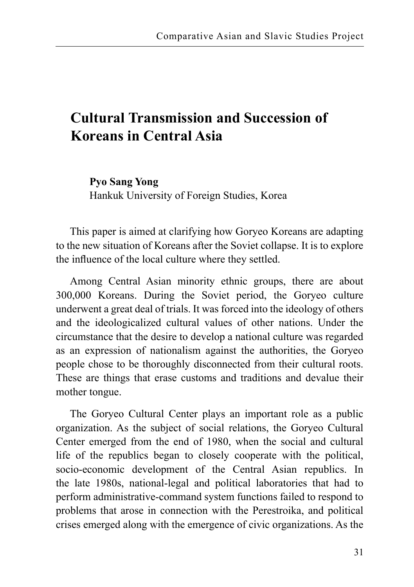# **Cultural Transmission and Succession of Koreans in Central Asia**

**Pyo Sang Yong**  Hankuk University of Foreign Studies, Korea

This paper is aimed at clarifying how Goryeo Koreans are adapting to the new situation of Koreans after the Soviet collapse. It is to explore the influence of the local culture where they settled.

Among Central Asian minority ethnic groups, there are about 300,000 Koreans. During the Soviet period, the Goryeo culture underwent a great deal of trials. It was forced into the ideology of others and the ideologicalized cultural values of other nations. Under the circumstance that the desire to develop a national culture was regarded as an expression of nationalism against the authorities, the Goryeo people chose to be thoroughly disconnected from their cultural roots. These are things that erase customs and traditions and devalue their mother tongue.

The Goryeo Cultural Center plays an important role as a public organization. As the subject of social relations, the Goryeo Cultural Center emerged from the end of 1980, when the social and cultural life of the republics began to closely cooperate with the political, socio-economic development of the Central Asian republics. In the late 1980s, national-legal and political laboratories that had to perform administrative-command system functions failed to respond to problems that arose in connection with the Perestroika, and political crises emerged along with the emergence of civic organizations. As the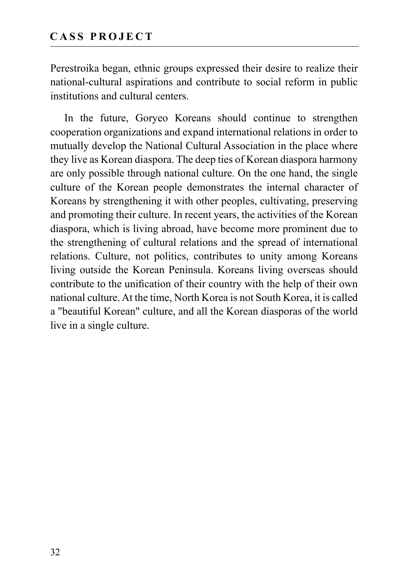Perestroika began, ethnic groups expressed their desire to realize their national-cultural aspirations and contribute to social reform in public institutions and cultural centers.

In the future, Goryeo Koreans should continue to strengthen cooperation organizations and expand international relations in order to mutually develop the National Cultural Association in the place where they live as Korean diaspora. The deep ties of Korean diaspora harmony are only possible through national culture. On the one hand, the single culture of the Korean people demonstrates the internal character of Koreans by strengthening it with other peoples, cultivating, preserving and promoting their culture. In recent years, the activities of the Korean diaspora, which is living abroad, have become more prominent due to the strengthening of cultural relations and the spread of international relations. Culture, not politics, contributes to unity among Koreans living outside the Korean Peninsula. Koreans living overseas should contribute to the unification of their country with the help of their own national culture. At the time, North Korea is not South Korea, it is called a "beautiful Korean" culture, and all the Korean diasporas of the world live in a single culture.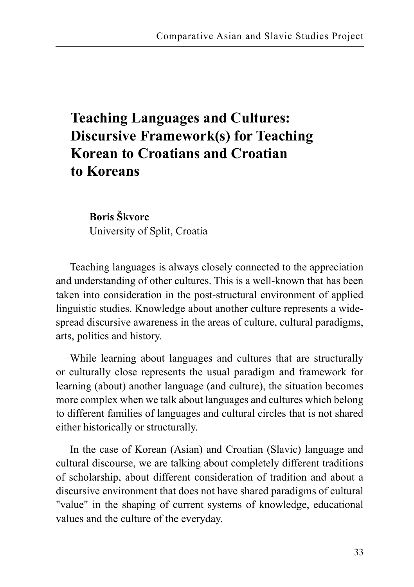# **Teaching Languages and Cultures: Discursive Framework(s) for Teaching Korean to Croatians and Croatian to Koreans**

**Boris Škvorc** University of Split, Croatia

Teaching languages is always closely connected to the appreciation and understanding of other cultures. This is a well-known that has been taken into consideration in the post-structural environment of applied linguistic studies. Knowledge about another culture represents a widespread discursive awareness in the areas of culture, cultural paradigms, arts, politics and history.

While learning about languages and cultures that are structurally or culturally close represents the usual paradigm and framework for learning (about) another language (and culture), the situation becomes more complex when we talk about languages and cultures which belong to different families of languages and cultural circles that is not shared either historically or structurally.

In the case of Korean (Asian) and Croatian (Slavic) language and cultural discourse, we are talking about completely different traditions of scholarship, about different consideration of tradition and about a discursive environment that does not have shared paradigms of cultural "value" in the shaping of current systems of knowledge, educational values and the culture of the everyday.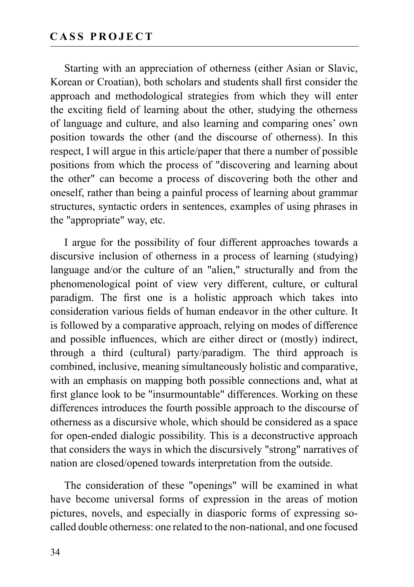Starting with an appreciation of otherness (either Asian or Slavic, Korean or Croatian), both scholars and students shall first consider the approach and methodological strategies from which they will enter the exciting field of learning about the other, studying the otherness of language and culture, and also learning and comparing ones' own position towards the other (and the discourse of otherness). In this respect, I will argue in this article/paper that there a number of possible positions from which the process of "discovering and learning about the other" can become a process of discovering both the other and oneself, rather than being a painful process of learning about grammar structures, syntactic orders in sentences, examples of using phrases in the "appropriate" way, etc.

I argue for the possibility of four different approaches towards a discursive inclusion of otherness in a process of learning (studying) language and/or the culture of an "alien," structurally and from the phenomenological point of view very different, culture, or cultural paradigm. The first one is a holistic approach which takes into consideration various fields of human endeavor in the other culture. It is followed by a comparative approach, relying on modes of difference and possible influences, which are either direct or (mostly) indirect, through a third (cultural) party/paradigm. The third approach is combined, inclusive, meaning simultaneously holistic and comparative, with an emphasis on mapping both possible connections and, what at first glance look to be "insurmountable" differences. Working on these differences introduces the fourth possible approach to the discourse of otherness as a discursive whole, which should be considered as a space for open-ended dialogic possibility. This is a deconstructive approach that considers the ways in which the discursively "strong" narratives of nation are closed/opened towards interpretation from the outside.

The consideration of these "openings" will be examined in what have become universal forms of expression in the areas of motion pictures, novels, and especially in diasporic forms of expressing socalled double otherness: one related to the non-national, and one focused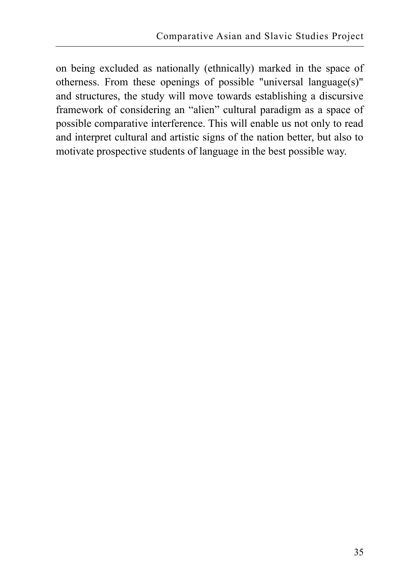on being excluded as nationally (ethnically) marked in the space of otherness. From these openings of possible "universal language(s)" and structures, the study will move towards establishing a discursive framework of considering an "alien" cultural paradigm as a space of possible comparative interference. This will enable us not only to read and interpret cultural and artistic signs of the nation better, but also to motivate prospective students of language in the best possible way.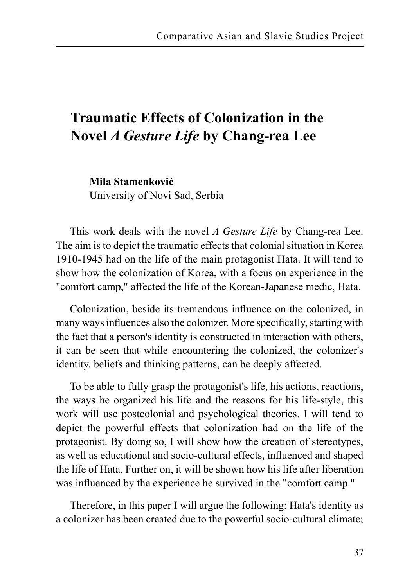# **Traumatic Effects of Colonization in the Novel** *A Gesture Life* **by Chang-rea Lee**

**Mila Stamenković**  University of Novi Sad, Serbia

This work deals with the novel *A Gesture Life* by Chang-rea Lee. The aim is to depict the traumatic effects that colonial situation in Korea 1910-1945 had on the life of the main protagonist Hata. It will tend to show how the colonization of Korea, with a focus on experience in the "comfort camp," affected the life of the Korean-Japanese medic, Hata.

Colonization, beside its tremendous influence on the colonized, in many ways influences also the colonizer. More specifically, starting with the fact that a person's identity is constructed in interaction with others, it can be seen that while encountering the colonized, the colonizer's identity, beliefs and thinking patterns, can be deeply affected.

To be able to fully grasp the protagonist's life, his actions, reactions, the ways he organized his life and the reasons for his life-style, this work will use postcolonial and psychological theories. I will tend to depict the powerful effects that colonization had on the life of the protagonist. By doing so, I will show how the creation of stereotypes, as well as educational and socio-cultural effects, influenced and shaped the life of Hata. Further on, it will be shown how his life after liberation was influenced by the experience he survived in the "comfort camp."

Therefore, in this paper I will argue the following: Hata's identity as a colonizer has been created due to the powerful socio-cultural climate;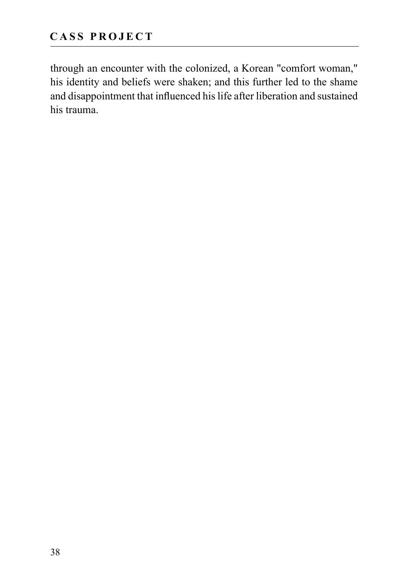through an encounter with the colonized, a Korean "comfort woman," his identity and beliefs were shaken; and this further led to the shame and disappointment that influenced his life after liberation and sustained his trauma.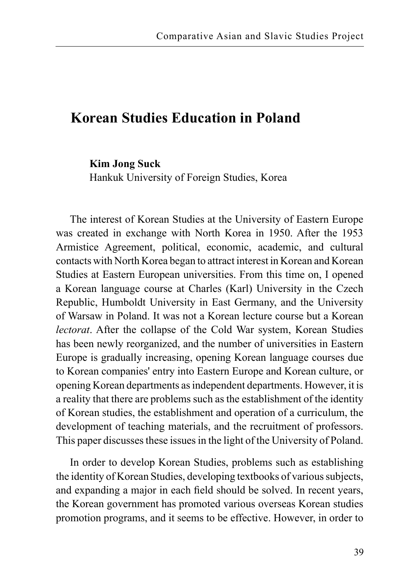### **Korean Studies Education in Poland**

**Kim Jong Suck** 

Hankuk University of Foreign Studies, Korea

The interest of Korean Studies at the University of Eastern Europe was created in exchange with North Korea in 1950. After the 1953 Armistice Agreement, political, economic, academic, and cultural contacts with North Korea began to attract interest in Korean and Korean Studies at Eastern European universities. From this time on, I opened a Korean language course at Charles (Karl) University in the Czech Republic, Humboldt University in East Germany, and the University of Warsaw in Poland. It was not a Korean lecture course but a Korean *lectorat*. After the collapse of the Cold War system, Korean Studies has been newly reorganized, and the number of universities in Eastern Europe is gradually increasing, opening Korean language courses due to Korean companies' entry into Eastern Europe and Korean culture, or opening Korean departments as independent departments. However, it is a reality that there are problems such as the establishment of the identity of Korean studies, the establishment and operation of a curriculum, the development of teaching materials, and the recruitment of professors. This paper discusses these issues in the light of the University of Poland.

In order to develop Korean Studies, problems such as establishing the identity of Korean Studies, developing textbooks of various subjects, and expanding a major in each field should be solved. In recent years, the Korean government has promoted various overseas Korean studies promotion programs, and it seems to be effective. However, in order to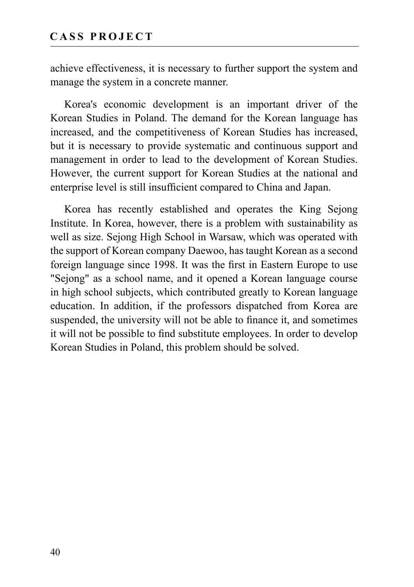achieve effectiveness, it is necessary to further support the system and manage the system in a concrete manner.

Korea's economic development is an important driver of the Korean Studies in Poland. The demand for the Korean language has increased, and the competitiveness of Korean Studies has increased, but it is necessary to provide systematic and continuous support and management in order to lead to the development of Korean Studies. However, the current support for Korean Studies at the national and enterprise level is still insufficient compared to China and Japan.

Korea has recently established and operates the King Sejong Institute. In Korea, however, there is a problem with sustainability as well as size. Sejong High School in Warsaw, which was operated with the support of Korean company Daewoo, has taught Korean as a second foreign language since 1998. It was the first in Eastern Europe to use "Sejong" as a school name, and it opened a Korean language course in high school subjects, which contributed greatly to Korean language education. In addition, if the professors dispatched from Korea are suspended, the university will not be able to finance it, and sometimes it will not be possible to find substitute employees. In order to develop Korean Studies in Poland, this problem should be solved.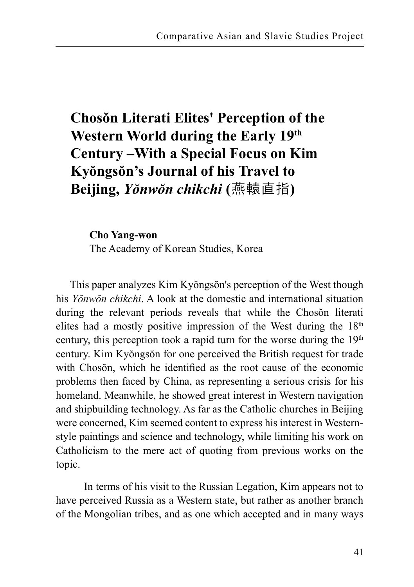# **Chosŏn Literati Elites' Perception of the Western World during the Early 19th Century –With a Special Focus on Kim Kyŏngsŏn's Journal of his Travel to Beijing,** *Yŏnwŏn chikchi* **(**燕轅直指**)**

**Cho Yang-won**  The Academy of Korean Studies, Korea

This paper analyzes Kim Kyŏngsŏn's perception of the West though his *Yŏnwŏn chikchi*. A look at the domestic and international situation during the relevant periods reveals that while the Chosŏn literati elites had a mostly positive impression of the West during the  $18<sup>th</sup>$ century, this perception took a rapid turn for the worse during the 19<sup>th</sup> century. Kim Kyŏngsŏn for one perceived the British request for trade with Chosŏn, which he identified as the root cause of the economic problems then faced by China, as representing a serious crisis for his homeland. Meanwhile, he showed great interest in Western navigation and shipbuilding technology. As far as the Catholic churches in Beijing were concerned, Kim seemed content to express his interest in Westernstyle paintings and science and technology, while limiting his work on Catholicism to the mere act of quoting from previous works on the topic.

 In terms of his visit to the Russian Legation, Kim appears not to have perceived Russia as a Western state, but rather as another branch of the Mongolian tribes, and as one which accepted and in many ways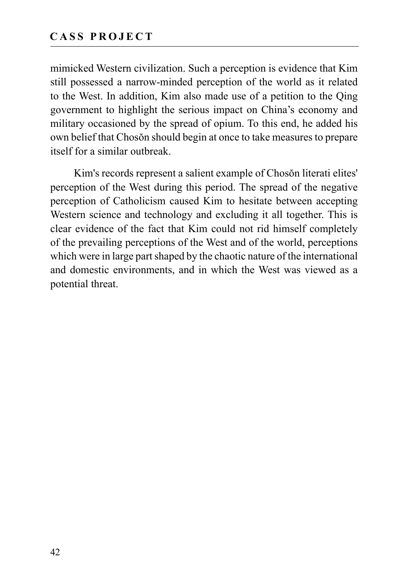mimicked Western civilization. Such a perception is evidence that Kim still possessed a narrow-minded perception of the world as it related to the West. In addition, Kim also made use of a petition to the Qing government to highlight the serious impact on China's economy and military occasioned by the spread of opium. To this end, he added his own belief that Chosŏn should begin at once to take measures to prepare itself for a similar outbreak.

Kim's records represent a salient example of Chosŏn literati elites' perception of the West during this period. The spread of the negative perception of Catholicism caused Kim to hesitate between accepting Western science and technology and excluding it all together. This is clear evidence of the fact that Kim could not rid himself completely of the prevailing perceptions of the West and of the world, perceptions which were in large part shaped by the chaotic nature of the international and domestic environments, and in which the West was viewed as a potential threat.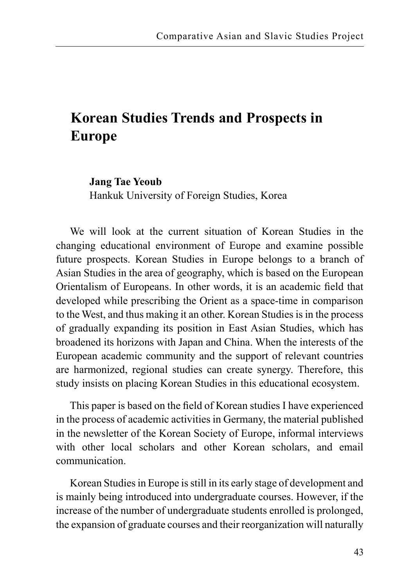# **Korean Studies Trends and Prospects in Europe**

#### **Jang Tae Yeoub**

Hankuk University of Foreign Studies, Korea

We will look at the current situation of Korean Studies in the changing educational environment of Europe and examine possible future prospects. Korean Studies in Europe belongs to a branch of Asian Studies in the area of geography, which is based on the European Orientalism of Europeans. In other words, it is an academic field that developed while prescribing the Orient as a space-time in comparison to the West, and thus making it an other. Korean Studies is in the process of gradually expanding its position in East Asian Studies, which has broadened its horizons with Japan and China. When the interests of the European academic community and the support of relevant countries are harmonized, regional studies can create synergy. Therefore, this study insists on placing Korean Studies in this educational ecosystem.

This paper is based on the field of Korean studies I have experienced in the process of academic activities in Germany, the material published in the newsletter of the Korean Society of Europe, informal interviews with other local scholars and other Korean scholars, and email communication.

Korean Studies in Europe is still in its early stage of development and is mainly being introduced into undergraduate courses. However, if the increase of the number of undergraduate students enrolled is prolonged, the expansion of graduate courses and their reorganization will naturally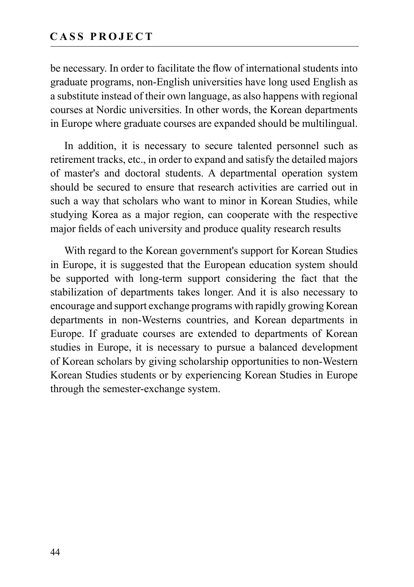be necessary. In order to facilitate the flow of international students into graduate programs, non-English universities have long used English as a substitute instead of their own language, as also happens with regional courses at Nordic universities. In other words, the Korean departments in Europe where graduate courses are expanded should be multilingual.

In addition, it is necessary to secure talented personnel such as retirement tracks, etc., in order to expand and satisfy the detailed majors of master's and doctoral students. A departmental operation system should be secured to ensure that research activities are carried out in such a way that scholars who want to minor in Korean Studies, while studying Korea as a major region, can cooperate with the respective major fields of each university and produce quality research results

With regard to the Korean government's support for Korean Studies in Europe, it is suggested that the European education system should be supported with long-term support considering the fact that the stabilization of departments takes longer. And it is also necessary to encourage and support exchange programs with rapidly growing Korean departments in non-Westerns countries, and Korean departments in Europe. If graduate courses are extended to departments of Korean studies in Europe, it is necessary to pursue a balanced development of Korean scholars by giving scholarship opportunities to non-Western Korean Studies students or by experiencing Korean Studies in Europe through the semester-exchange system.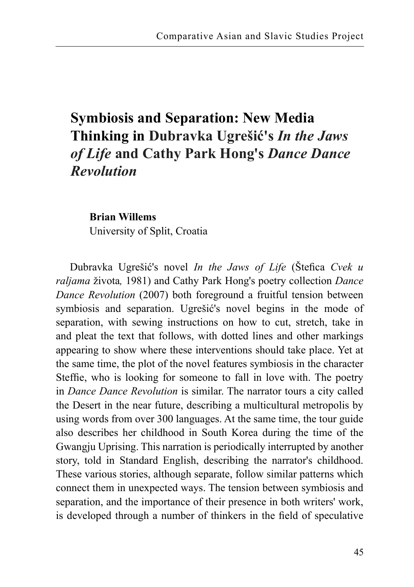# **Symbiosis and Separation: New Media Thinking in Dubravka Ugrešić's** *In the Jaws of Life* **and Cathy Park Hong's** *Dance Dance Revolution*

**Brian Willems** University of Split, Croatia

Dubravka Ugrešić's novel *In the Jaws of Life* (Štefica *Cvek u raljama* života*,* 1981) and Cathy Park Hong's poetry collection *Dance Dance Revolution* (2007) both foreground a fruitful tension between symbiosis and separation. Ugrešić's novel begins in the mode of separation, with sewing instructions on how to cut, stretch, take in and pleat the text that follows, with dotted lines and other markings appearing to show where these interventions should take place. Yet at the same time, the plot of the novel features symbiosis in the character Steffie, who is looking for someone to fall in love with. The poetry in *Dance Dance Revolution* is similar. The narrator tours a city called the Desert in the near future, describing a multicultural metropolis by using words from over 300 languages. At the same time, the tour guide also describes her childhood in South Korea during the time of the Gwangju Uprising. This narration is periodically interrupted by another story, told in Standard English, describing the narrator's childhood. These various stories, although separate, follow similar patterns which connect them in unexpected ways. The tension between symbiosis and separation, and the importance of their presence in both writers' work, is developed through a number of thinkers in the field of speculative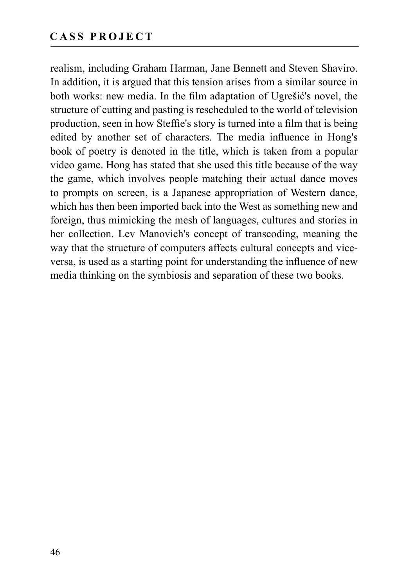realism, including Graham Harman, Jane Bennett and Steven Shaviro. In addition, it is argued that this tension arises from a similar source in both works: new media. In the film adaptation of Ugrešić's novel, the structure of cutting and pasting is rescheduled to the world of television production, seen in how Steffie's story is turned into a film that is being edited by another set of characters. The media influence in Hong's book of poetry is denoted in the title, which is taken from a popular video game. Hong has stated that she used this title because of the way the game, which involves people matching their actual dance moves to prompts on screen, is a Japanese appropriation of Western dance, which has then been imported back into the West as something new and foreign, thus mimicking the mesh of languages, cultures and stories in her collection. Lev Manovich's concept of transcoding, meaning the way that the structure of computers affects cultural concepts and viceversa, is used as a starting point for understanding the influence of new media thinking on the symbiosis and separation of these two books.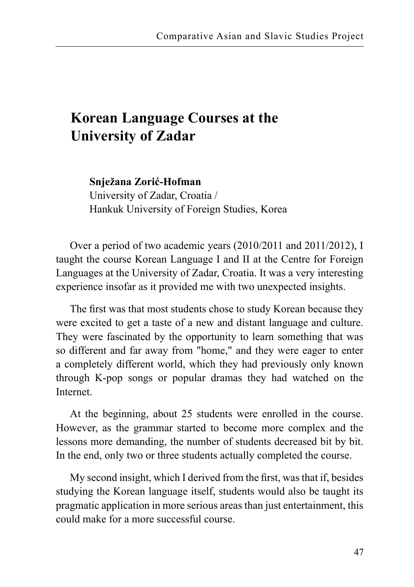### **Korean Language Courses at the University of Zadar**

**Snježana Zorić-Hofman** 

University of Zadar, Croatia / Hankuk University of Foreign Studies, Korea

Over a period of two academic years (2010/2011 and 2011/2012), I taught the course Korean Language I and II at the Centre for Foreign Languages at the University of Zadar, Croatia. It was a very interesting experience insofar as it provided me with two unexpected insights.

The first was that most students chose to study Korean because they were excited to get a taste of a new and distant language and culture. They were fascinated by the opportunity to learn something that was so different and far away from "home," and they were eager to enter a completely different world, which they had previously only known through K-pop songs or popular dramas they had watched on the Internet.

At the beginning, about 25 students were enrolled in the course. However, as the grammar started to become more complex and the lessons more demanding, the number of students decreased bit by bit. In the end, only two or three students actually completed the course.

My second insight, which I derived from the first, was that if, besides studying the Korean language itself, students would also be taught its pragmatic application in more serious areas than just entertainment, this could make for a more successful course.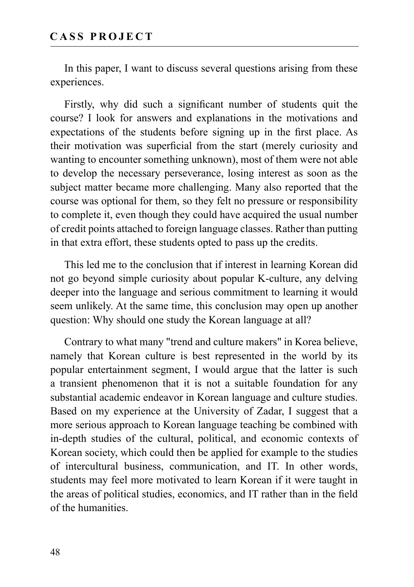In this paper, I want to discuss several questions arising from these experiences.

Firstly, why did such a significant number of students quit the course? I look for answers and explanations in the motivations and expectations of the students before signing up in the first place. As their motivation was superficial from the start (merely curiosity and wanting to encounter something unknown), most of them were not able to develop the necessary perseverance, losing interest as soon as the subject matter became more challenging. Many also reported that the course was optional for them, so they felt no pressure or responsibility to complete it, even though they could have acquired the usual number of credit points attached to foreign language classes. Rather than putting in that extra effort, these students opted to pass up the credits.

This led me to the conclusion that if interest in learning Korean did not go beyond simple curiosity about popular K-culture, any delving deeper into the language and serious commitment to learning it would seem unlikely. At the same time, this conclusion may open up another question: Why should one study the Korean language at all?

Contrary to what many "trend and culture makers" in Korea believe, namely that Korean culture is best represented in the world by its popular entertainment segment, I would argue that the latter is such a transient phenomenon that it is not a suitable foundation for any substantial academic endeavor in Korean language and culture studies. Based on my experience at the University of Zadar, I suggest that a more serious approach to Korean language teaching be combined with in-depth studies of the cultural, political, and economic contexts of Korean society, which could then be applied for example to the studies of intercultural business, communication, and IT. In other words, students may feel more motivated to learn Korean if it were taught in the areas of political studies, economics, and IT rather than in the field of the humanities.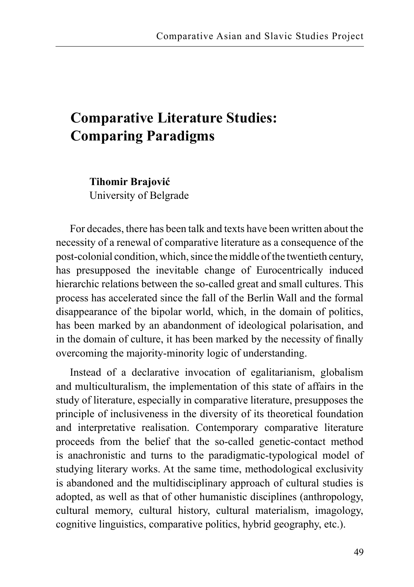### **Comparative Literature Studies: Comparing Paradigms**

**Tihomir Brajović** University of Belgrade

For decades, there has been talk and texts have been written about the necessity of a renewal of comparative literature as a consequence of the post-colonial condition, which, since the middle of the twentieth century, has presupposed the inevitable change of Eurocentrically induced hierarchic relations between the so-called great and small cultures. This process has accelerated since the fall of the Berlin Wall and the formal disappearance of the bipolar world, which, in the domain of politics, has been marked by an abandonment of ideological polarisation, and in the domain of culture, it has been marked by the necessity of finally overcoming the majority-minority logic of understanding.

Instead of a declarative invocation of egalitarianism, globalism and multiculturalism, the implementation of this state of affairs in the study of literature, especially in comparative literature, presupposes the principle of inclusiveness in the diversity of its theoretical foundation and interpretative realisation. Contemporary comparative literature proceeds from the belief that the so-called genetic-contact method is anachronistic and turns to the paradigmatic-typological model of studying literary works. At the same time, methodological exclusivity is abandoned and the multidisciplinary approach of cultural studies is adopted, as well as that of other humanistic disciplines (anthropology, cultural memory, cultural history, cultural materialism, imagology, cognitive linguistics, comparative politics, hybrid geography, etc.).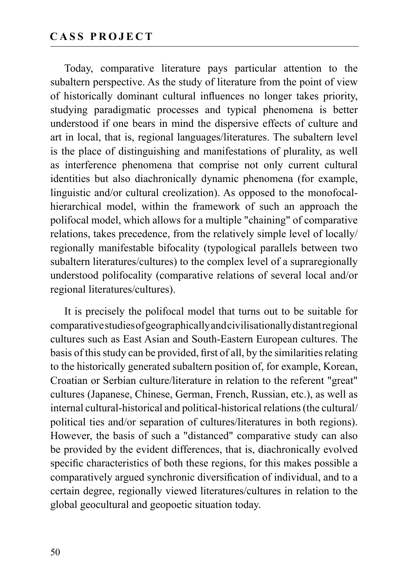Today, comparative literature pays particular attention to the subaltern perspective. As the study of literature from the point of view of historically dominant cultural influences no longer takes priority, studying paradigmatic processes and typical phenomena is better understood if one bears in mind the dispersive effects of culture and art in local, that is, regional languages/literatures. The subaltern level is the place of distinguishing and manifestations of plurality, as well as interference phenomena that comprise not only current cultural identities but also diachronically dynamic phenomena (for example, linguistic and/or cultural creolization). As opposed to the monofocalhierarchical model, within the framework of such an approach the polifocal model, which allows for a multiple "chaining" of comparative relations, takes precedence, from the relatively simple level of locally/ regionally manifestable bifocality (typological parallels between two subaltern literatures/cultures) to the complex level of a supraregionally understood polifocality (comparative relations of several local and/or regional literatures/cultures).

It is precisely the polifocal model that turns out to be suitable for comparative studies of geographically and civilisationally distant regional cultures such as East Asian and South-Eastern European cultures. The basis of this study can be provided, first of all, by the similarities relating to the historically generated subaltern position of, for example, Korean, Croatian or Serbian culture/literature in relation to the referent "great" cultures (Japanese, Chinese, German, French, Russian, etc.), as well as internal cultural-historical and political-historical relations (the cultural/ political ties and/or separation of cultures/literatures in both regions). However, the basis of such a "distanced" comparative study can also be provided by the evident differences, that is, diachronically evolved specific characteristics of both these regions, for this makes possible a comparatively argued synchronic diversification of individual, and to a certain degree, regionally viewed literatures/cultures in relation to the global geocultural and geopoetic situation today.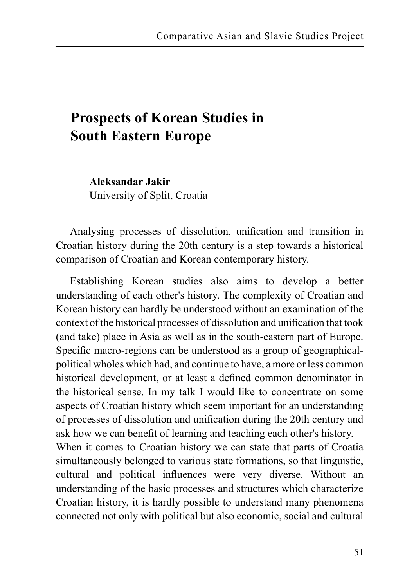## **Prospects of Korean Studies in South Eastern Europe**

**Aleksandar Jakir** University of Split, Croatia

Analysing processes of dissolution, unification and transition in Croatian history during the 20th century is a step towards a historical comparison of Croatian and Korean contemporary history.

Establishing Korean studies also aims to develop a better understanding of each other's history. The complexity of Croatian and Korean history can hardly be understood without an examination of the context of the historical processes of dissolution and unification that took (and take) place in Asia as well as in the south-eastern part of Europe. Specific macro-regions can be understood as a group of geographicalpolitical wholes which had, and continue to have, a more or less common historical development, or at least a defined common denominator in the historical sense. In my talk I would like to concentrate on some aspects of Croatian history which seem important for an understanding of processes of dissolution and unification during the 20th century and ask how we can benefit of learning and teaching each other's history. When it comes to Croatian history we can state that parts of Croatia simultaneously belonged to various state formations, so that linguistic, cultural and political influences were very diverse. Without an understanding of the basic processes and structures which characterize Croatian history, it is hardly possible to understand many phenomena connected not only with political but also economic, social and cultural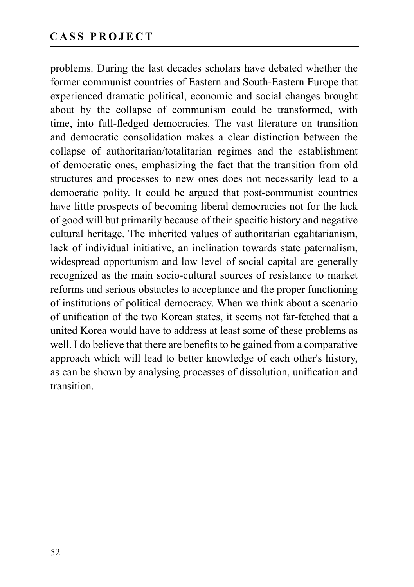problems. During the last decades scholars have debated whether the former communist countries of Eastern and South-Eastern Europe that experienced dramatic political, economic and social changes brought about by the collapse of communism could be transformed, with time, into full-fledged democracies. The vast literature on transition and democratic consolidation makes a clear distinction between the collapse of authoritarian/totalitarian regimes and the establishment of democratic ones, emphasizing the fact that the transition from old structures and processes to new ones does not necessarily lead to a democratic polity. It could be argued that post-communist countries have little prospects of becoming liberal democracies not for the lack of good will but primarily because of their specific history and negative cultural heritage. The inherited values of authoritarian egalitarianism, lack of individual initiative, an inclination towards state paternalism, widespread opportunism and low level of social capital are generally recognized as the main socio-cultural sources of resistance to market reforms and serious obstacles to acceptance and the proper functioning of institutions of political democracy. When we think about a scenario of unification of the two Korean states, it seems not far-fetched that a united Korea would have to address at least some of these problems as well. I do believe that there are benefits to be gained from a comparative approach which will lead to better knowledge of each other's history, as can be shown by analysing processes of dissolution, unification and transition.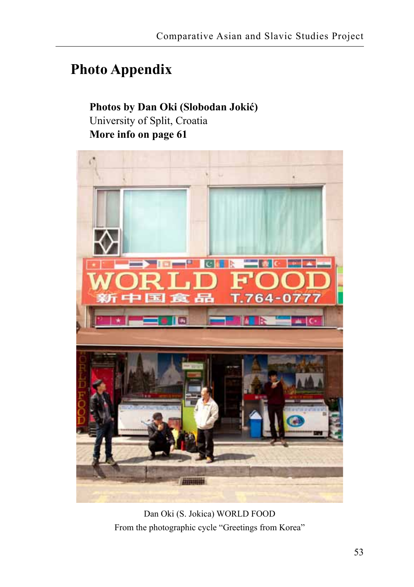### **Photo Appendix**

#### **Photos by Dan Oki (Slobodan Jokić)** University of Split, Croatia **More info on page 61**



Dan Oki (S. Jokica) WORLD FOOD From the photographic cycle "Greetings from Korea"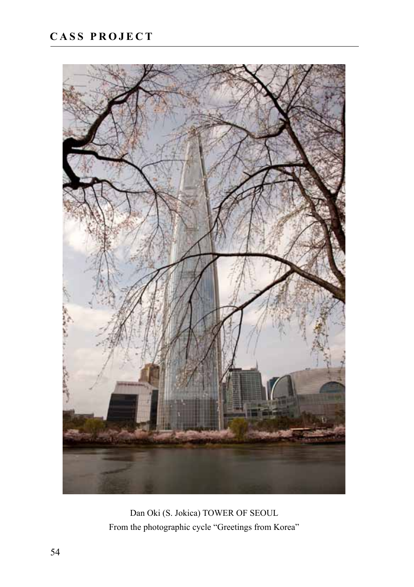

Dan Oki (S. Jokica) TOWER OF SEOUL From the photographic cycle "Greetings from Korea"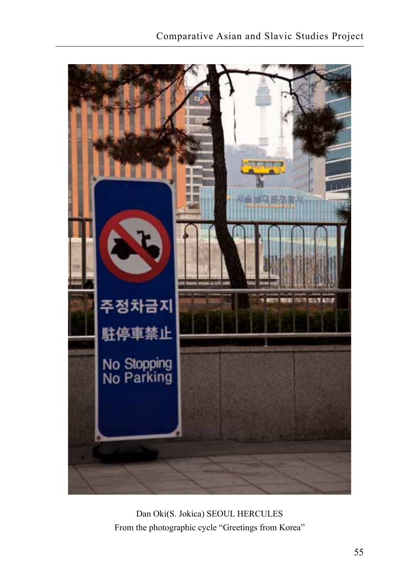

Dan Oki(S. Jokica) SEOUL HERCULES From the photographic cycle "Greetings from Korea"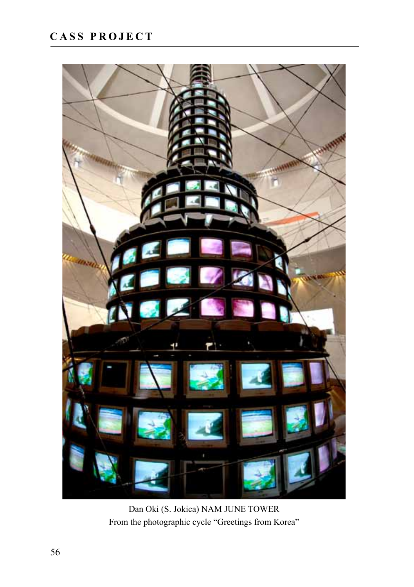

Dan Oki (S. Jokica) NAM JUNE TOWER From the photographic cycle "Greetings from Korea"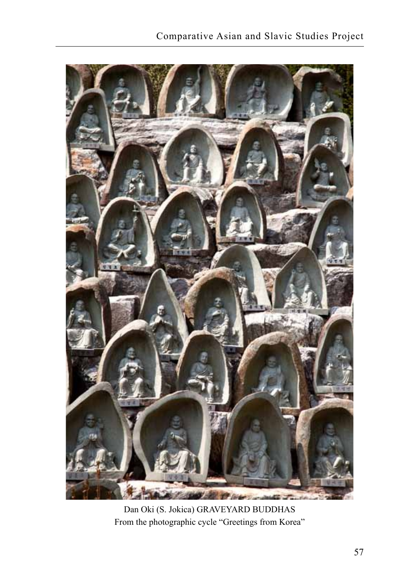

Dan Oki (S. Jokica) GRAVEYARD BUDDHAS From the photographic cycle "Greetings from Korea"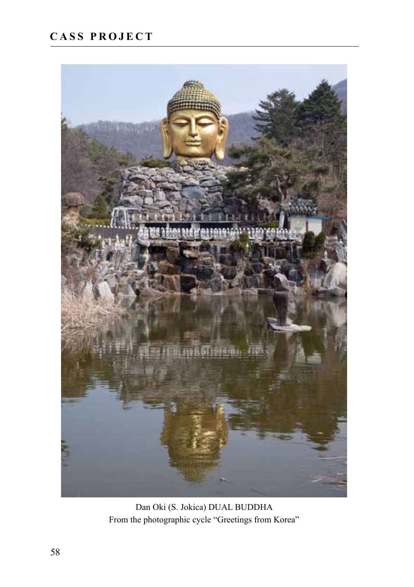

Dan Oki (S. Jokica) DUAL BUDDHA From the photographic cycle "Greetings from Korea"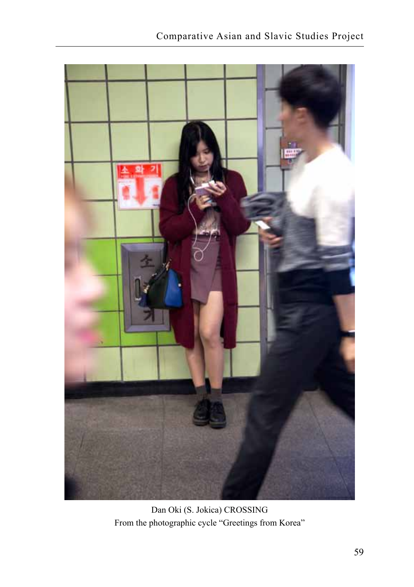

Dan Oki (S. Jokica) CROSSING From the photographic cycle "Greetings from Korea"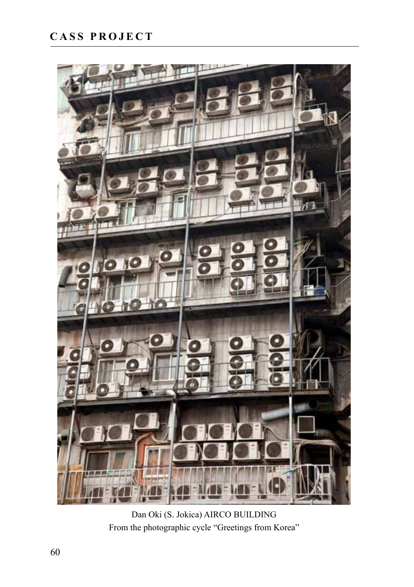

Dan Oki (S. Jokica) AIRCO BUILDING From the photographic cycle "Greetings from Korea"